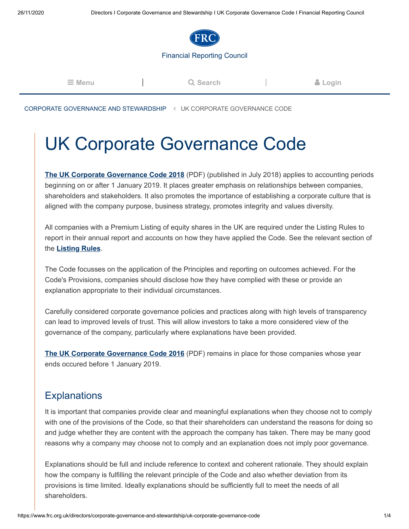

## [Financial Reporting Council](https://www.frc.org.uk/)

| $\equiv$ Menu | Q Search | & Login |
|---------------|----------|---------|
|               |          |         |

[CORPORATE GOVERNANCE AND STEWARDSHIP](https://www.frc.org.uk/directors/corporate-governance-and-stewardship) < UK CORPORATE GOVERNANCE CODE

## UK Corporate Governance Code

**[The UK Corporate Governance Code 2018](https://www.frc.org.uk/document-library/corporate-governance/2018/uk-corporate-governance-code-2018)** (PDF) (published in July 2018) applies to accounting periods beginning on or after 1 January 2019. It places greater emphasis on relationships between companies, shareholders and stakeholders. It also promotes the importance of establishing a corporate culture that is aligned with the company purpose, business strategy, promotes integrity and values diversity.

All companies with a Premium Listing of equity shares in the UK are required under the Listing Rules to report in their annual report and accounts on how they have applied the Code. See the relevant section of the **[Listing Rules](http://www.handbook.fca.org.uk/handbook/LR/)**.

The Code focusses on the application of the Principles and reporting on outcomes achieved. For the Code's Provisions, companies should disclose how they have complied with these or provide an explanation appropriate to their individual circumstances.

Carefully considered corporate governance policies and practices along with high levels of transparency can lead to improved levels of trust. This will allow investors to take a more considered view of the governance of the company, particularly where explanations have been provided.

**[The UK Corporate Governance Code 2016](https://www.frc.org.uk/document-library/corporate-governance/2016/uk-corporate-governance-code-april-2016)** (PDF) remains in place for those companies whose year ends occured before 1 January 2019.

## **Explanations**

It is important that companies provide clear and meaningful explanations when they choose not to comply with one of the provisions of the Code, so that their shareholders can understand the reasons for doing so and judge whether they are content with the approach the company has taken. There may be many good reasons why a company may choose not to comply and an explanation does not imply poor governance.

Explanations should be full and include reference to context and coherent rationale. They should explain how the company is fulfilling the relevant principle of the Code and also whether deviation from its provisions is time limited. Ideally explanations should be sufficiently full to meet the needs of all shareholders.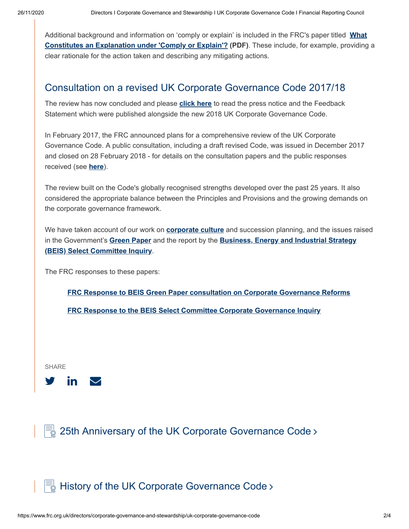[Additional background and information on 'comply or explain' is included in the FRC's paper titled](https://www.frc.org.uk/document-library/corporate-governance/2012/what-constitutes-an-explanation-under-comply-or-ex) **What Constitutes an Explanation under 'Comply or Explain'? (PDF)**. These include, for example, providing a clear rationale for the action taken and describing any mitigating actions.

## Consultation on a revised UK Corporate Governance Code 2017/18

The review has now concluded and please **[click here](https://www.frc.org.uk/news/july-2018/a-uk-corporate-governance-code-that-is-fit-for-the)** to read the press notice and the Feedback Statement which were published alongside the new 2018 UK Corporate Governance Code.

In February 2017, the FRC announced plans for a comprehensive review of the UK Corporate Governance Code. A public consultation, including a draft revised Code, was issued in December 2017 and closed on 28 February 2018 - for details on the consultation papers and the public responses received (see **[here](https://www.frc.org.uk/consultation-list/2017/consulting-on-a-revised-uk-corporate-governance-co)**).

The review built on the Code's globally recognised strengths developed over the past 25 years. It also considered the appropriate balance between the Principles and Provisions and the growing demands on the corporate governance framework.

We have taken account of our work on **[corporate culture](https://www.frc.org.uk/document-library/corporate-governance/2016/corporate-culture-and-the-role-of-boards-report-o)** and succession planning, and the issues raised in the Government's **[Green Paper](https://www.gov.uk/government/consultations/corporate-governance-reform)** and the report by the **[Business, Energy and Industrial Strategy](http://www.parliament.uk/business/committees/committees-a-z/commons-select/business-innovation-and-skills/inquiries/parliament-2015/corporate-governance-inquiry/) (BEIS) [Select Committee Inquiry](https://www.parliament.uk/business/committees/committees-a-z/commons-select/business-innovation-and-skills/inquiries/parliament-2015/corporate-governance-inquiry/)**.

The FRC responses to these papers:

**[FRC Response to BEIS Green Paper consultation on Corporate Governance Reforms](https://www.frc.org.uk/document-library/corporate-governance/2017/frc-response-to-beis-green-paper-consultation-on-c)**

**[FRC Response to the BEIS Select Committee Corporate Governance Inquiry](https://www.frc.org.uk/document-library/corporate-governance/2016/frc-response-to-the-beis-select-committee-corporat)**

SHARE



 $\equiv$  [25th Anniversary of the UK Corporate Governance Code](https://www.frc.org.uk/directors/corporate-governance-and-stewardship/uk-corporate-governance-code/25th-anniversary-of-the-uk-corporate-governance-co) >

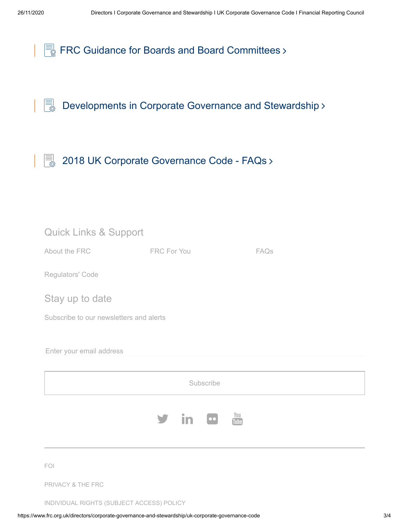[Developments in Corporate Governance and Stewardship](https://www.frc.org.uk/directors/corporate-governance-and-stewardship/developments-in-corporate-governance-and-stewardsh)

 $\begin{bmatrix} \boxed{\equiv} \\ \boxed{\gg} \end{bmatrix}$  [2018 UK Corporate Governance Code - FAQs](https://www.frc.org.uk/directors/corporate-governance-and-stewardship/uk-corporate-governance-code/2018-uk-corporate-governance-code-faqs) >

| <b>Quick Links &amp; Support</b>        |                                                   |      |  |  |  |  |
|-----------------------------------------|---------------------------------------------------|------|--|--|--|--|
| About the FRC                           | <b>FRC For You</b>                                | FAQs |  |  |  |  |
| Regulators' Code                        |                                                   |      |  |  |  |  |
| Stay up to date                         |                                                   |      |  |  |  |  |
| Subscribe to our newsletters and alerts |                                                   |      |  |  |  |  |
| Enter your email address                |                                                   |      |  |  |  |  |
| Subscribe                               |                                                   |      |  |  |  |  |
|                                         | $\frac{You}{Iube}$<br>in<br>$  \bullet \bullet  $ |      |  |  |  |  |
| FOI                                     |                                                   |      |  |  |  |  |
| PRIVACY & THE FRC                       |                                                   |      |  |  |  |  |

[INDIVIDUAL RIGHTS \(SUBJECT ACCESS\) POLICY](https://www.frc.org.uk/document-library/frc/gandl/individual-rights-(data-privacy)-policy-october-20)